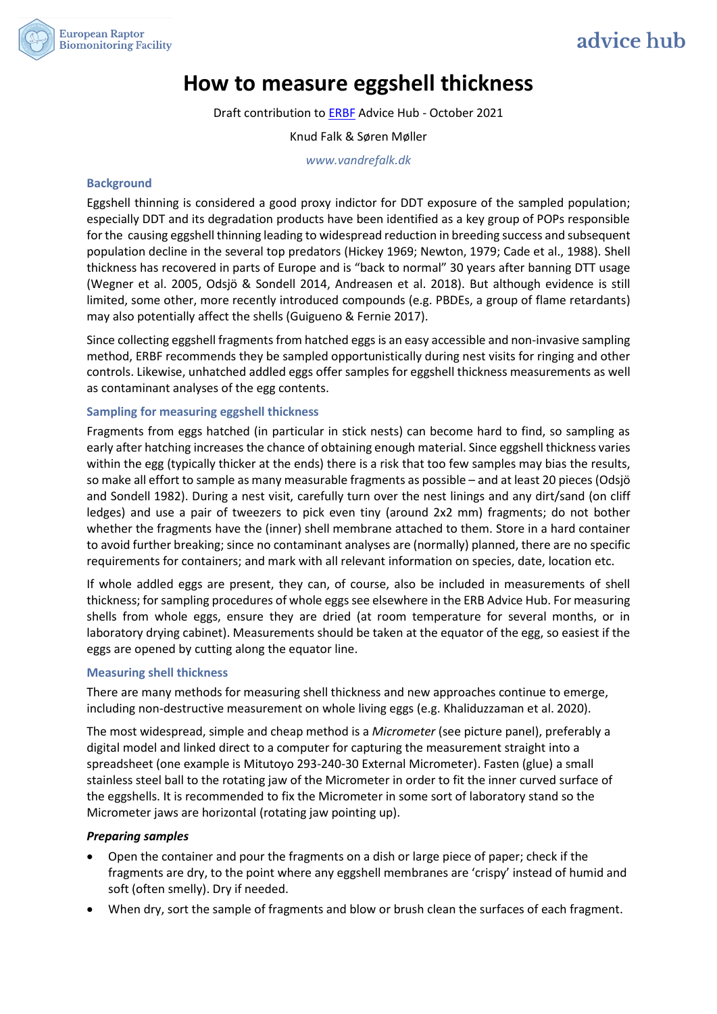

# **How to measure eggshell thickness**

Draft contribution to [ERBF](https://erbfacility.eu/) Advice Hub - October 2021

Knud Falk & Søren Møller

*www.vandrefalk.dk*

## **Background**

Eggshell thinning is considered a good proxy indictor for DDT exposure of the sampled population; especially DDT and its degradation products have been identified as a key group of POPs responsible for the causing eggshell thinning leading to widespread reduction in breeding success and subsequent population decline in the several top predators (Hickey 1969; Newton, 1979; Cade et al., 1988). Shell thickness has recovered in parts of Europe and is "back to normal" 30 years after banning DTT usage (Wegner et al. 2005, Odsjö & Sondell 2014, Andreasen et al. 2018). But although evidence is still limited, some other, more recently introduced compounds (e.g. PBDEs, a group of flame retardants) may also potentially affect the shells (Guigueno & Fernie 2017).

Since collecting eggshell fragments from hatched eggs is an easy accessible and non-invasive sampling method, ERBF recommends they be sampled opportunistically during nest visits for ringing and other controls. Likewise, unhatched addled eggs offer samples for eggshell thickness measurements as well as contaminant analyses of the egg contents.

#### **Sampling for measuring eggshell thickness**

Fragments from eggs hatched (in particular in stick nests) can become hard to find, so sampling as early after hatching increases the chance of obtaining enough material. Since eggshell thickness varies within the egg (typically thicker at the ends) there is a risk that too few samples may bias the results, so make all effort to sample as many measurable fragments as possible – and at least 20 pieces (Odsjö and Sondell 1982). During a nest visit, carefully turn over the nest linings and any dirt/sand (on cliff ledges) and use a pair of tweezers to pick even tiny (around 2x2 mm) fragments; do not bother whether the fragments have the (inner) shell membrane attached to them. Store in a hard container to avoid further breaking; since no contaminant analyses are (normally) planned, there are no specific requirements for containers; and mark with all relevant information on species, date, location etc.

If whole addled eggs are present, they can, of course, also be included in measurements of shell thickness; for sampling procedures of whole eggs see elsewhere in the ERB Advice Hub. For measuring shells from whole eggs, ensure they are dried (at room temperature for several months, or in laboratory drying cabinet). Measurements should be taken at the equator of the egg, so easiest if the eggs are opened by cutting along the equator line.

#### **Measuring shell thickness**

There are many methods for measuring shell thickness and new approaches continue to emerge, including non-destructive measurement on whole living eggs (e.g. Khaliduzzaman et al. 2020).

The most widespread, simple and cheap method is a *Micrometer* (see picture panel), preferably a digital model and linked direct to a computer for capturing the measurement straight into a spreadsheet (one example is Mitutoyo 293-240-30 External Micrometer). Fasten (glue) a small stainless steel ball to the rotating jaw of the Micrometer in order to fit the inner curved surface of the eggshells. It is recommended to fix the Micrometer in some sort of laboratory stand so the Micrometer jaws are horizontal (rotating jaw pointing up).

## *Preparing samples*

- Open the container and pour the fragments on a dish or large piece of paper; check if the fragments are dry, to the point where any eggshell membranes are 'crispy' instead of humid and soft (often smelly). Dry if needed.
- When dry, sort the sample of fragments and blow or brush clean the surfaces of each fragment.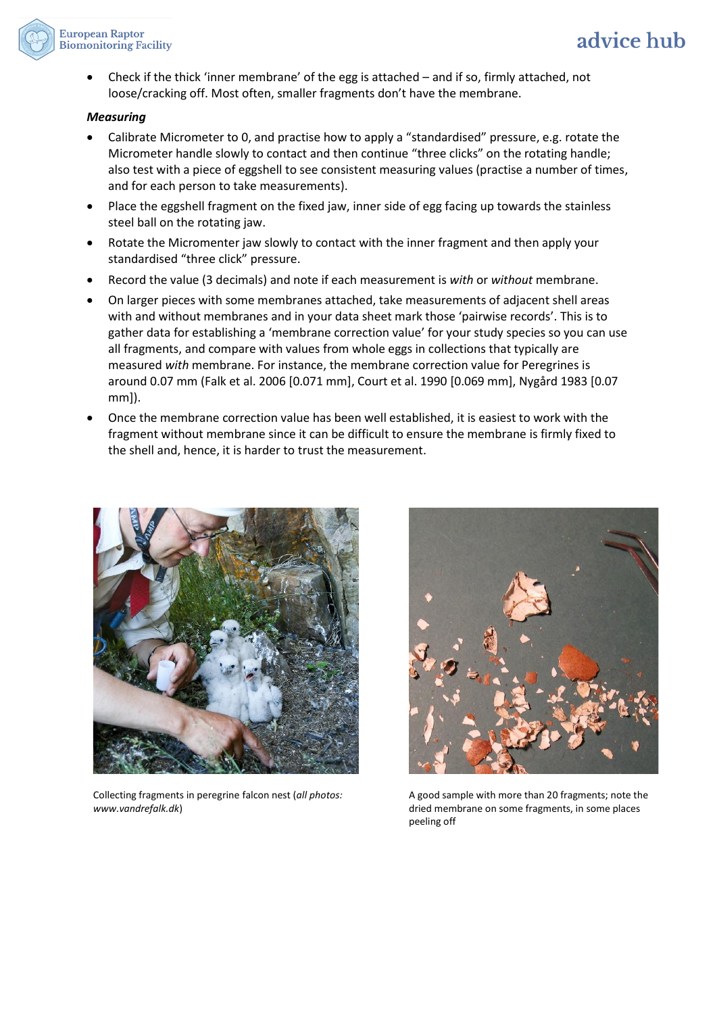

• Check if the thick 'inner membrane' of the egg is attached – and if so, firmly attached, not loose/cracking off. Most often, smaller fragments don't have the membrane.

#### *Measuring*

- Calibrate Micrometer to 0, and practise how to apply a "standardised" pressure, e.g. rotate the Micrometer handle slowly to contact and then continue "three clicks" on the rotating handle; also test with a piece of eggshell to see consistent measuring values (practise a number of times, and for each person to take measurements).
- Place the eggshell fragment on the fixed jaw, inner side of egg facing up towards the stainless steel ball on the rotating jaw.
- Rotate the Micromenter jaw slowly to contact with the inner fragment and then apply your standardised "three click" pressure.
- Record the value (3 decimals) and note if each measurement is *with* or *without* membrane.
- On larger pieces with some membranes attached, take measurements of adjacent shell areas with and without membranes and in your data sheet mark those 'pairwise records'. This is to gather data for establishing a 'membrane correction value' for your study species so you can use all fragments, and compare with values from whole eggs in collections that typically are measured *with* membrane. For instance, the membrane correction value for Peregrines is around 0.07 mm (Falk et al. 2006 [0.071 mm], Court et al. 1990 [0.069 mm], Nygård 1983 [0.07 mm]).
- Once the membrane correction value has been well established, it is easiest to work with the fragment without membrane since it can be difficult to ensure the membrane is firmly fixed to the shell and, hence, it is harder to trust the measurement.



Collecting fragments in peregrine falcon nest (*all photos: www.vandrefalk.dk*)



A good sample with more than 20 fragments; note the dried membrane on some fragments, in some places peeling off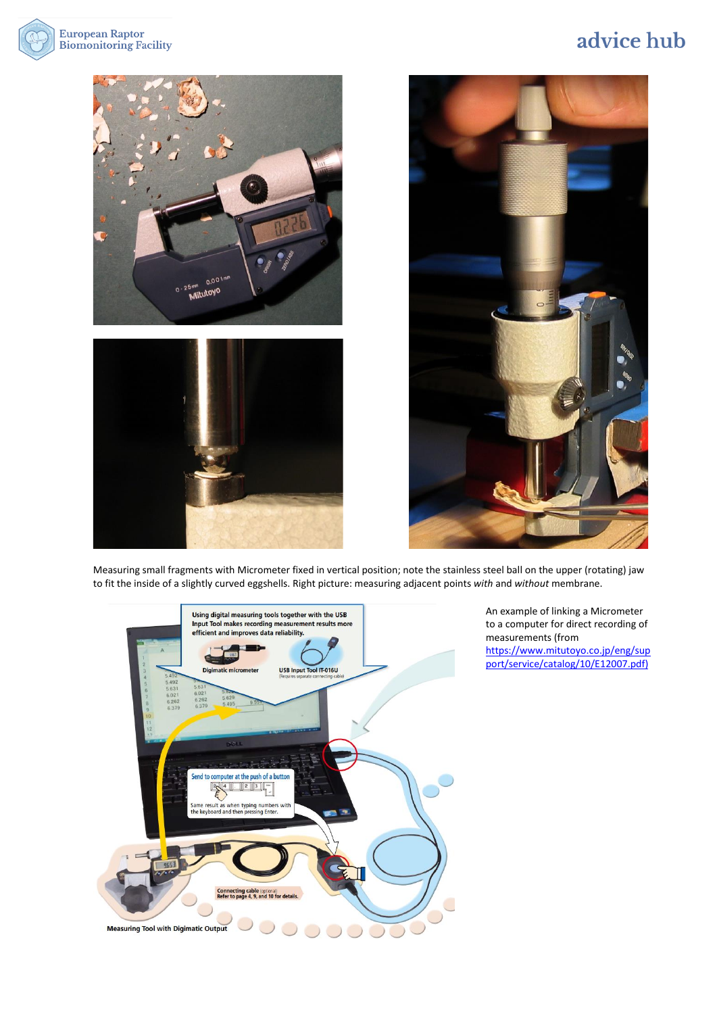









Measuring small fragments with Micrometer fixed in vertical position; note the stainless steel ball on the upper (rotating) jaw to fit the inside of a slightly curved eggshells. Right picture: measuring adjacent points *with* and *without* membrane.



An example of linking a Micrometer to a computer for direct recording of measurements (from [https://www.mitutoyo.co.jp/eng/sup](https://www.mitutoyo.co.jp/eng/support/service/catalog/10/E12007.pdf) [port/service/catalog/10/E12007.pdf\)](https://www.mitutoyo.co.jp/eng/support/service/catalog/10/E12007.pdf)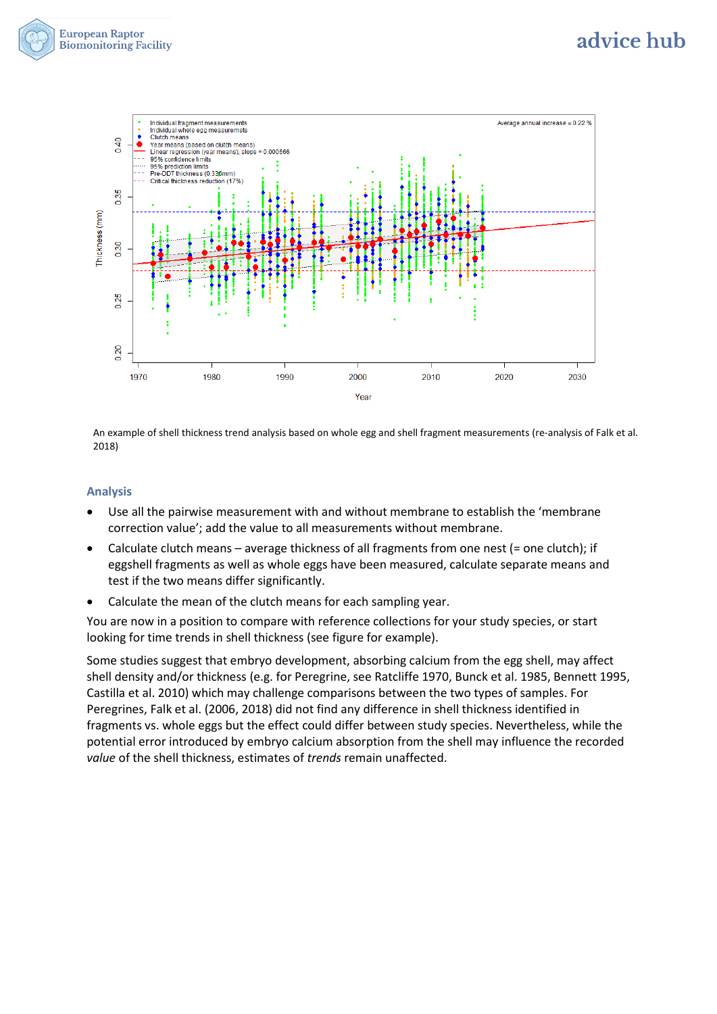



An example of shell thickness trend analysis based on whole egg and shell fragment measurements (re-analysis of Falk et al. 2018)

#### **Analysis**

- Use all the pairwise measurement with and without membrane to establish the 'membrane correction value'; add the value to all measurements without membrane.
- Calculate clutch means average thickness of all fragments from one nest (= one clutch); if eggshell fragments as well as whole eggs have been measured, calculate separate means and test if the two means differ significantly.
- Calculate the mean of the clutch means for each sampling year.

You are now in a position to compare with reference collections for your study species, or start looking for time trends in shell thickness (see figure for example).

Some studies suggest that embryo development, absorbing calcium from the egg shell, may affect shell density and/or thickness (e.g. for Peregrine, see Ratcliffe 1970, Bunck et al. 1985, Bennett 1995, Castilla et al. 2010) which may challenge comparisons between the two types of samples. For Peregrines, Falk et al. (2006, 2018) did not find any difference in shell thickness identified in fragments vs. whole eggs but the effect could differ between study species. Nevertheless, while the potential error introduced by embryo calcium absorption from the shell may influence the recorded *value* of the shell thickness, estimates of *trends* remain unaffected.